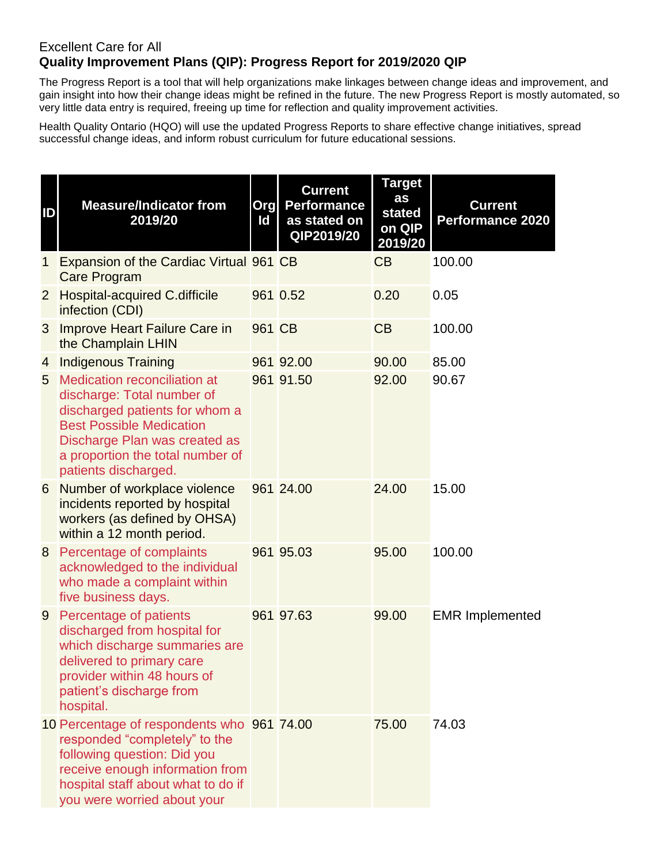## Excellent Care for All **Quality Improvement Plans (QIP): Progress Report for 2019/2020 QIP**

The Progress Report is a tool that will help organizations make linkages between change ideas and improvement, and gain insight into how their change ideas might be refined in the future. The new Progress Report is mostly automated, so very little data entry is required, freeing up time for reflection and quality improvement activities.

Health Quality Ontario (HQO) will use the updated Progress Reports to share effective change initiatives, spread successful change ideas, and inform robust curriculum for future educational sessions.

| ID             | <b>Measure/Indicator from</b><br>2019/20                                                                                                                                                                                            | Org<br>Id | <b>Current</b><br><b>Performance</b><br>as stated on<br>QIP2019/20 | <b>Target</b><br>as<br>stated<br>on QIP<br>2019/20 | <b>Current</b><br><b>Performance 2020</b> |
|----------------|-------------------------------------------------------------------------------------------------------------------------------------------------------------------------------------------------------------------------------------|-----------|--------------------------------------------------------------------|----------------------------------------------------|-------------------------------------------|
| 1              | Expansion of the Cardiac Virtual 961 CB<br><b>Care Program</b>                                                                                                                                                                      |           |                                                                    | CB                                                 | 100.00                                    |
| $\overline{2}$ | <b>Hospital-acquired C.difficile</b><br>infection (CDI)                                                                                                                                                                             |           | 961 0.52                                                           | 0.20                                               | 0.05                                      |
| 3              | <b>Improve Heart Failure Care in</b><br>the Champlain LHIN                                                                                                                                                                          | 961 CB    |                                                                    | CB                                                 | 100.00                                    |
| 4              | <b>Indigenous Training</b>                                                                                                                                                                                                          |           | 961 92.00                                                          | 90.00                                              | 85.00                                     |
| 5              | <b>Medication reconciliation at</b><br>discharge: Total number of<br>discharged patients for whom a<br><b>Best Possible Medication</b><br>Discharge Plan was created as<br>a proportion the total number of<br>patients discharged. |           | 961 91.50                                                          | 92.00                                              | 90.67                                     |
| 6              | Number of workplace violence<br>incidents reported by hospital<br>workers (as defined by OHSA)<br>within a 12 month period.                                                                                                         |           | 961 24.00                                                          | 24.00                                              | 15.00                                     |
| 8              | Percentage of complaints<br>acknowledged to the individual<br>who made a complaint within<br>five business days.                                                                                                                    |           | 961 95.03                                                          | 95.00                                              | 100.00                                    |
| 9              | Percentage of patients<br>discharged from hospital for<br>which discharge summaries are<br>delivered to primary care<br>provider within 48 hours of<br>patient's discharge from<br>hospital.                                        |           | 961 97.63                                                          | 99.00                                              | <b>EMR Implemented</b>                    |
|                | 10 Percentage of respondents who 961 74.00<br>responded "completely" to the<br>following question: Did you<br>receive enough information from<br>hospital staff about what to do if<br>you were worried about your                  |           |                                                                    | 75.00                                              | 74.03                                     |